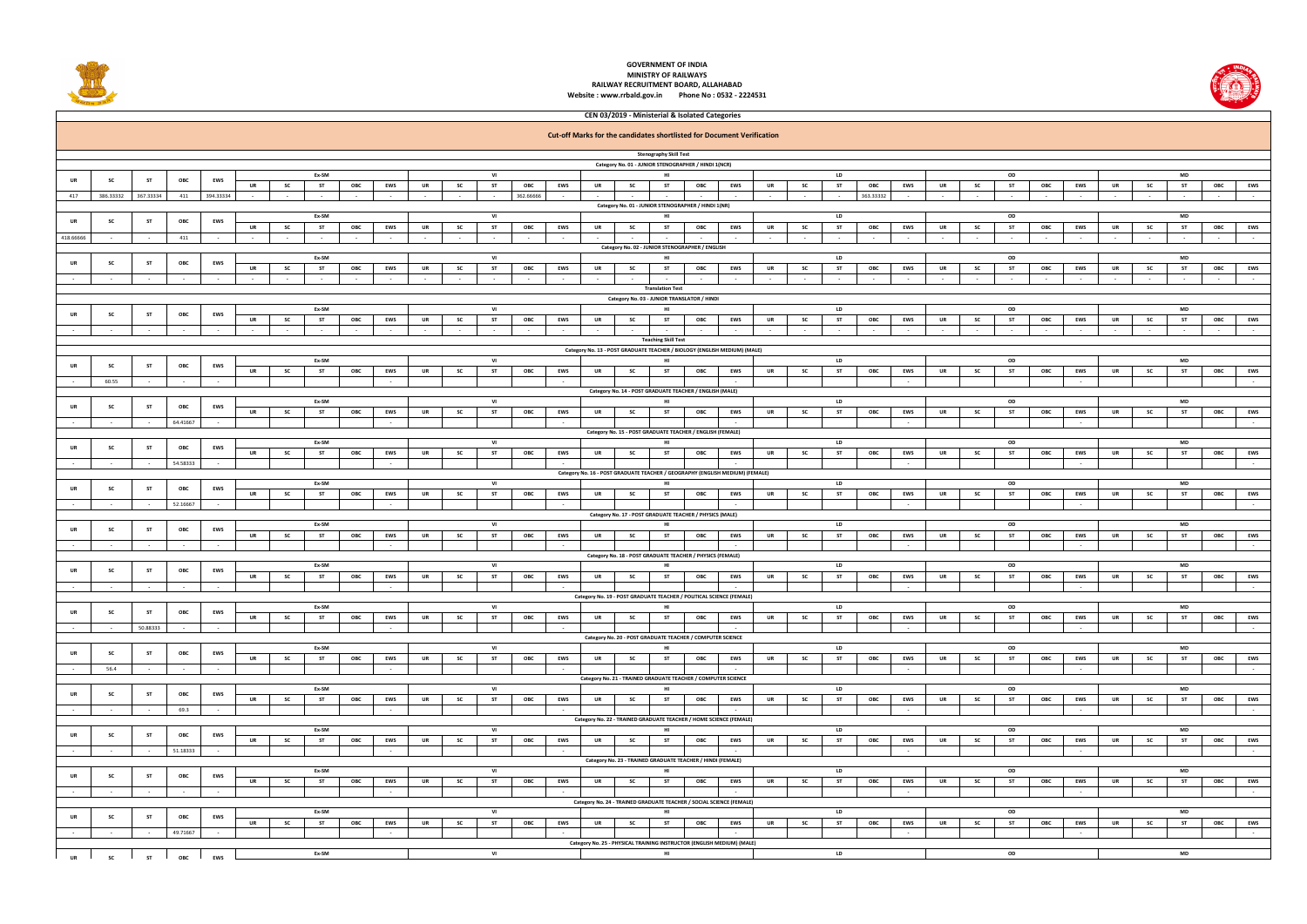

## **GOVERNMENT OF INDIA MINISTRY OF RAILWAYSRAILWAY RECRUITMENT BOARD, ALLAHABAD**

**Website : www.rrbald.gov.in Phone No : 0532 - 2224531**

|                                                                                                                                                                                                                                                                                |                                                                                              |           |                |                          |           |                     |                             |                   |                      |                     |              |                     |           |                      | <b>Cut-off Marks for the candidates shortlisted for Document Verification</b> |                                                                                            |                |                          |           |           |                        |                       |                        |           |                  |                     |               |                             |              |              |                        |     |                              |
|--------------------------------------------------------------------------------------------------------------------------------------------------------------------------------------------------------------------------------------------------------------------------------|----------------------------------------------------------------------------------------------|-----------|----------------|--------------------------|-----------|---------------------|-----------------------------|-------------------|----------------------|---------------------|--------------|---------------------|-----------|----------------------|-------------------------------------------------------------------------------|--------------------------------------------------------------------------------------------|----------------|--------------------------|-----------|-----------|------------------------|-----------------------|------------------------|-----------|------------------|---------------------|---------------|-----------------------------|--------------|--------------|------------------------|-----|------------------------------|
|                                                                                                                                                                                                                                                                                |                                                                                              |           |                |                          |           |                     |                             |                   |                      |                     |              |                     |           |                      |                                                                               | <b>Stenography Skill Test</b>                                                              |                |                          |           |           |                        |                       |                        |           |                  |                     |               |                             |              |              |                        |     |                              |
|                                                                                                                                                                                                                                                                                |                                                                                              |           |                |                          |           |                     |                             |                   |                      |                     |              |                     |           |                      |                                                                               | Category No. 01 - JUNIOR STENOGRAPHER / HINDI 1(NCR)<br>OD<br><b>LD</b><br><b>MD</b><br>HI |                |                          |           |           |                        |                       |                        |           |                  |                     |               |                             |              |              |                        |     |                              |
| UR                                                                                                                                                                                                                                                                             | <b>SC</b>                                                                                    | <b>ST</b> | ОВС            | EWS                      | UR        | <b>SC</b>           | Ex-SM<br><b>ST</b>          | ОВС               | <b>EWS</b>           | UR                  | SC           | VI<br><b>ST</b>     | ОВС       | EWS                  | UR<br><b>SC</b>                                                               | ST                                                                                         | ОВС            | <b>EWS</b>               | UR        | SC        | <b>ST</b>              | ОВС                   | EWS                    | UR        | SC               | ST                  | ОВС           | <b>EWS</b>                  | UR           | SC           | <b>ST</b>              | ОВС | <b>EWS</b>                   |
| 417                                                                                                                                                                                                                                                                            | 386.33332                                                                                    | 367.33334 | 411            | 394.33334                |           | $\sim$ $-$          | $\sim$ 100 $\mu$            | $\sim$            | $\sim$               | $\sim$              |              | $\sim$              | 362.66666 | $\sim$               |                                                                               |                                                                                            |                |                          |           |           | $\sim$ $-$             | 363.33332             | $\sim$ 100 $\pm$       |           | $\sim$           |                     | $\sim$        | $\sim$                      | $\sim$       | $\sim$       | $\sim$                 |     | $\sim 10^{-11}$              |
|                                                                                                                                                                                                                                                                                |                                                                                              |           |                |                          |           |                     |                             |                   |                      |                     |              |                     |           |                      |                                                                               | Category No. 01 - JUNIOR STENOGRAPHER / HINDI 1(NR)                                        |                |                          |           |           |                        |                       |                        |           |                  |                     |               |                             |              |              |                        |     |                              |
| UR                                                                                                                                                                                                                                                                             | -SC                                                                                          | <b>ST</b> | ОВС            | EWS                      |           |                     | Ex-SM                       |                   |                      |                     |              | VI                  |           |                      |                                                                               | HI                                                                                         |                |                          |           |           | <b>LD</b>              |                       |                        |           |                  | OD                  |               |                             |              |              | <b>MD</b>              |     |                              |
| 418.66666                                                                                                                                                                                                                                                                      | $\sim$                                                                                       | $\sim$    | 411            | $\sim$                   | <b>UR</b> | <b>SC</b><br>$\sim$ | <b>ST</b><br>$\sim 10^{-1}$ | OBC<br>$\sim$ $-$ | EWS<br>$\sim$ $-$    | <b>UR</b><br>$\sim$ | SC<br>$\sim$ | <b>ST</b><br>$\sim$ | ОВС       | EWS<br>$\sim$ $-$    | UR<br><b>SC</b><br>$\sim$                                                     | <b>ST</b>                                                                                  | OBC            | <b>EWS</b><br>$\sim$     | UR        | SC        | <b>ST</b><br>$\sim$    | ОВС<br>$\sim 10^{-1}$ | EWS<br>$\sim$ 10 $\pm$ | UR        | SC<br>$\sim$ $-$ | <b>ST</b><br>$\sim$ | ОВС<br>$\sim$ | <b>EWS</b><br>$\sim$ $\sim$ | UR<br>$\sim$ | SC<br>$\sim$ | <b>ST</b><br>$\sim$    | ОВС | <b>EWS</b><br>$\sim$         |
|                                                                                                                                                                                                                                                                                |                                                                                              |           |                |                          |           |                     |                             |                   |                      |                     |              |                     |           |                      |                                                                               | Category No. 02 - JUNIOR STENOGRAPHER / ENGLISH                                            |                |                          |           |           |                        |                       |                        |           |                  |                     |               |                             |              |              |                        |     |                              |
| UR                                                                                                                                                                                                                                                                             | -SC                                                                                          | ST        | ОВС            | <b>EWS</b>               |           |                     | Ex-SM                       |                   |                      |                     |              | VI                  |           |                      |                                                                               | HI                                                                                         |                |                          |           |           | <b>LD</b>              |                       |                        |           |                  | OD                  |               |                             |              |              | MD                     |     |                              |
|                                                                                                                                                                                                                                                                                |                                                                                              |           |                |                          | UR        | <b>SC</b>           | <b>ST</b>                   | OBC               | <b>EWS</b>           | <b>UR</b>           | SC           | <b>ST</b>           | ОВС       | EWS                  | UR<br><b>SC</b>                                                               | <b>ST</b>                                                                                  | OBC            | <b>EWS</b>               | <b>UR</b> | SC        | <b>ST</b>              | ОВС                   | <b>EWS</b>             | UR        | <b>SC</b>        | <b>ST</b>           | ОВС           | <b>EWS</b>                  | <b>UR</b>    | SC           | <b>ST</b>              | ОВС | <b>EWS</b>                   |
| $\sim$<br>$\sim$<br>$\sim$<br>$\sim$ 100 $\mu$<br>$\sim$<br>$\sim$ 100 $\mu$<br>$\sim$<br>$\sim$<br>$\sim$ $-$<br>$\sim$<br>$\sim$<br>$\sim$<br><b>Contract</b><br>$\sim$<br>$\sim$<br>$\sim$<br>$\sim$<br>$\sim$<br>$\sim$<br>$\sim$<br>$\sim$ $-$<br><b>Translation Test</b> |                                                                                              |           |                |                          |           |                     |                             |                   |                      |                     |              |                     |           |                      | $\sim$                                                                        | $\sim$                                                                                     | $\sim 10^{-1}$ |                          |           |           |                        |                       |                        |           |                  |                     |               |                             |              |              |                        |     |                              |
| Category No. 03 - JUNIOR TRANSLATOR / HINDI                                                                                                                                                                                                                                    |                                                                                              |           |                |                          |           |                     |                             |                   |                      |                     |              |                     |           |                      |                                                                               |                                                                                            |                |                          |           |           |                        |                       |                        |           |                  |                     |               |                             |              |              |                        |     |                              |
|                                                                                                                                                                                                                                                                                |                                                                                              | ST        | ОВС            | EWS                      |           |                     | Ex-SM                       |                   |                      |                     |              | VI                  |           |                      |                                                                               | HI                                                                                         |                |                          |           |           | <b>LD</b>              |                       |                        |           |                  | OD                  |               |                             |              |              | <b>MD</b>              |     |                              |
|                                                                                                                                                                                                                                                                                |                                                                                              |           |                |                          | UR        | <b>SC</b>           | ST                          | ОВС               | <b>EWS</b>           | <b>UR</b>           | <b>SC</b>    | <b>ST</b>           | ОВС       | EWS                  | <b>SC</b><br>UR                                                               | <b>ST</b>                                                                                  | ОВС            | <b>EWS</b>               | UR        | SC        | <b>ST</b>              | ОВС                   | EWS                    | UR        | <b>SC</b>        | ST                  | ОВС           | <b>EWS</b>                  | UR           | <b>SC</b>    | <b>ST</b>              | OBC | EWS                          |
|                                                                                                                                                                                                                                                                                |                                                                                              | $\sim$    |                |                          |           | $\sim$              | $\sim$ $-$                  | $\sim$            | $\sim$               | $\sim$              |              |                     |           | $\sim$               | $\sim$                                                                        |                                                                                            |                |                          |           |           | $\sim$                 | $\sim$                | $\sim$                 |           | $\sim$           |                     | $\sim$        |                             | $\sim$       |              | $\sim$                 |     | $\sim$                       |
| <b>Teaching Skill Test</b><br>Category No. 13 - POST GRADUATE TEACHER / BIOLOGY (ENGLISH MEDIUM) (MALE)                                                                                                                                                                        |                                                                                              |           |                |                          |           |                     |                             |                   |                      |                     |              |                     |           |                      |                                                                               |                                                                                            |                |                          |           |           |                        |                       |                        |           |                  |                     |               |                             |              |              |                        |     |                              |
| UR                                                                                                                                                                                                                                                                             | <b>SC</b>                                                                                    | ST        | ОВС            | EWS                      |           |                     | Ex-SM                       |                   |                      |                     |              | VI                  |           |                      |                                                                               | HI                                                                                         |                |                          |           |           | <b>LD</b>              |                       |                        |           |                  | OD                  |               |                             |              |              | <b>MD</b>              |     |                              |
|                                                                                                                                                                                                                                                                                |                                                                                              |           |                |                          | <b>UR</b> | <b>SC</b>           | <b>ST</b>                   | OBC               | EWS                  | <b>UR</b>           | <b>SC</b>    | <b>ST</b>           | ОВС       | EWS                  | <b>SC</b><br>UR                                                               | <b>ST</b>                                                                                  | OBC            | <b>EWS</b>               | <b>UR</b> | SC        | <b>ST</b>              | ОВС                   | EWS                    | UR        | <b>SC</b>        | <b>ST</b>           | ОВС           | <b>EWS</b>                  | <b>UR</b>    | <b>SC</b>    | <b>ST</b>              | ОВС | <b>EWS</b>                   |
| $\sim$                                                                                                                                                                                                                                                                         | 60.55                                                                                        | $\sim$    | $\sim$         | $\sim$                   |           |                     |                             |                   | $\sim$               |                     |              |                     |           | $\sim$               | Category No. 14 - POST GRADUATE TEACHER / ENGLISH (MALE)                      |                                                                                            |                |                          |           |           |                        |                       | $\sim$                 |           |                  |                     |               |                             |              |              |                        |     | $\sim 10^{-1}$               |
|                                                                                                                                                                                                                                                                                |                                                                                              |           |                |                          |           |                     | Ex-SM                       |                   |                      |                     |              | VI                  |           |                      |                                                                               | HI                                                                                         |                |                          |           |           | LD                     |                       |                        |           |                  | OD                  |               |                             |              |              | <b>MD</b>              |     |                              |
|                                                                                                                                                                                                                                                                                |                                                                                              | ST        | ОВС            | EWS                      | UR        | <b>SC</b>           | <b>ST</b>                   | OBC               | EWS                  | UR                  | <b>SC</b>    | <b>ST</b>           | ОВС       | EWS                  | <b>SC</b><br>UR                                                               | <b>ST</b>                                                                                  | ОВС            | EWS                      | UR        | SC        | <b>ST</b>              | ОВС                   | EWS                    | UR        | <b>SC</b>        | <b>ST</b>           | ОВС           | <b>EWS</b>                  | UR           | SC           | <b>ST</b>              | ОВС | EWS                          |
| $\sim$                                                                                                                                                                                                                                                                         |                                                                                              | $\sim$    | 64.41667       | $\sim$                   |           |                     |                             |                   | $\sim$               |                     |              |                     |           | $\sim$               |                                                                               |                                                                                            |                |                          |           |           |                        |                       | $\sim$                 |           |                  |                     |               |                             |              |              |                        |     | $\sim$                       |
|                                                                                                                                                                                                                                                                                | Category No. 15 - POST GRADUATE TEACHER / ENGLISH (FEMALE)<br>Ex-SM<br>VI<br><b>LD</b><br>HI |           |                |                          |           |                     |                             |                   |                      |                     |              |                     |           |                      |                                                                               |                                                                                            | OD             |                          |           |           |                        |                       |                        |           |                  |                     |               |                             |              |              |                        |     |                              |
| UR                                                                                                                                                                                                                                                                             | <b>SC</b>                                                                                    | <b>ST</b> | ОВС            | EWS                      | <b>UR</b> | <b>SC</b>           | <b>ST</b>                   | ОВС               | EWS                  | <b>UR</b>           | <b>SC</b>    | <b>ST</b>           | ОВС       | EWS                  | <b>SC</b><br>UR                                                               | <b>ST</b>                                                                                  | OBC            | EWS                      | <b>UR</b> | SC        | <b>ST</b>              | ОВС                   | EWS                    | <b>UR</b> | <b>SC</b>        | <b>ST</b>           | ОВС           | <b>EWS</b>                  | UR           | <b>SC</b>    | <b>MD</b><br><b>ST</b> | ОВС | EWS                          |
| $\sim$                                                                                                                                                                                                                                                                         | $\sim$                                                                                       | $\sim$    | 54.58333       | $\sim$                   |           |                     |                             |                   | $\sim$               |                     |              |                     |           | $\sim$               |                                                                               |                                                                                            |                |                          |           |           |                        |                       | $\sim$                 |           |                  |                     |               | $\sim$                      |              |              |                        |     | $\sim 10^{-1}$               |
| Category No. 16 - POST GRADUATE TEACHER / GEOGRAPHY (ENGLISH MEDIUM) (FEMALE)<br>Ex-SM<br>VI<br><b>LD</b><br>OD<br>MD<br>HI                                                                                                                                                    |                                                                                              |           |                |                          |           |                     |                             |                   |                      |                     |              |                     |           |                      |                                                                               |                                                                                            |                |                          |           |           |                        |                       |                        |           |                  |                     |               |                             |              |              |                        |     |                              |
|                                                                                                                                                                                                                                                                                |                                                                                              | ST        | OBC            | EWS                      | <b>UR</b> | <b>SC</b>           | <b>ST</b>                   | OBC               | EWS                  | <b>UR</b>           | <b>SC</b>    | <b>ST</b>           | ОВС       | EWS                  | <b>SC</b><br>UR                                                               | <b>ST</b>                                                                                  | ОВС            | <b>EWS</b>               | UR        | SC        | <b>ST</b>              | ОВС                   | EWS                    | UR        | <b>SC</b>        | <b>ST</b>           | ОВС           | <b>EWS</b>                  | <b>UR</b>    | SC           | <b>ST</b>              | ОВС | EWS                          |
|                                                                                                                                                                                                                                                                                |                                                                                              | $\sim$    | 52.16667       | $\sim$                   |           |                     |                             |                   | $\sim$ $-$           |                     |              |                     |           | $\sim$               |                                                                               |                                                                                            |                |                          |           |           |                        |                       | $\sim$                 |           |                  |                     |               | $\sim$                      |              |              |                        |     | $\sim 10^{-11}$              |
|                                                                                                                                                                                                                                                                                |                                                                                              |           |                |                          |           |                     |                             |                   |                      |                     |              |                     |           |                      | Category No. 17 - POST GRADUATE TEACHER / PHYSICS (MALE)                      |                                                                                            |                |                          |           |           |                        |                       |                        |           |                  |                     |               |                             |              |              |                        |     |                              |
| <b>UR</b>                                                                                                                                                                                                                                                                      | <b>SC</b>                                                                                    | ST        | ОВС            | EWS                      |           |                     | Ex-SM                       |                   |                      |                     |              | VI                  |           |                      |                                                                               | HI                                                                                         |                |                          |           |           | LD                     |                       |                        |           |                  | OD                  |               |                             |              |              | MD                     |     |                              |
|                                                                                                                                                                                                                                                                                |                                                                                              |           |                | $\sim$                   | <b>UR</b> | <b>SC</b>           | <b>ST</b>                   | OBC               | EWS                  | <b>UR</b>           | <b>SC</b>    | <b>ST</b>           | ОВС       | EWS<br>$\sim$        | <b>SC</b><br><b>UR</b>                                                        | <b>ST</b>                                                                                  | ОВС            | <b>EWS</b>               | <b>UR</b> | SC        | <b>ST</b>              | ОВС                   | EWS<br>$\sim$          | UR        | SC               | <b>ST</b>           | ОВС           | <b>EWS</b>                  | UR           | SC           | <b>ST</b>              | ОВС | <b>EWS</b><br>$\sim 10^{-1}$ |
|                                                                                                                                                                                                                                                                                |                                                                                              |           |                |                          |           |                     |                             |                   |                      |                     |              |                     |           |                      | Category No. 18 - POST GRADUATE TEACHER / PHYSICS (FEMALE)                    |                                                                                            |                |                          |           |           |                        |                       |                        |           |                  |                     |               |                             |              |              |                        |     |                              |
|                                                                                                                                                                                                                                                                                |                                                                                              | ST        | ОВС            | EWS                      |           |                     | Ex-SM                       |                   |                      |                     |              | VI                  |           |                      |                                                                               | HI                                                                                         |                |                          |           |           | LD                     |                       |                        |           |                  | OD                  |               |                             |              |              | MD                     |     |                              |
|                                                                                                                                                                                                                                                                                |                                                                                              | $\sim$    |                |                          | <b>UR</b> | <b>SC</b>           | ST                          | OBC               | <b>EWS</b>           | UR                  | <b>SC</b>    | <b>ST</b>           | ОВС       | EWS<br>$\sim$        | <b>SC</b><br>UR                                                               | ST                                                                                         | ОВС            | <b>EWS</b>               | UR        | SC        | <b>ST</b>              | ОВС                   | EWS<br>$\sim$          | UR        | <b>SC</b>        | <b>ST</b>           | ОВС           | <b>EWS</b>                  | UR           | SC           | <b>ST</b>              | ОВС | EWS<br>$\sim$                |
|                                                                                                                                                                                                                                                                                |                                                                                              |           |                |                          |           |                     |                             |                   |                      |                     |              |                     |           |                      | Category No. 19 - POST GRADUATE TEACHER / POLITICAL SCIENCE (FEMALE)          |                                                                                            |                |                          |           |           |                        |                       |                        |           |                  |                     |               |                             |              |              |                        |     |                              |
| UR                                                                                                                                                                                                                                                                             | <b>SC</b>                                                                                    | ST        | ОВС            | EWS                      |           |                     | Ex-SM                       |                   |                      |                     |              | VI                  |           |                      |                                                                               | HI                                                                                         |                |                          |           |           | <b>LD</b>              |                       |                        |           |                  | OD                  |               |                             |              |              | MD                     |     |                              |
|                                                                                                                                                                                                                                                                                |                                                                                              |           |                |                          | <b>UR</b> | <b>SC</b>           | <b>ST</b>                   | ОВС               | EWS                  | <b>UR</b>           | <b>SC</b>    | ST                  | ОВС       | <b>EWS</b>           | <b>UR</b><br><b>SC</b>                                                        | <b>ST</b>                                                                                  | ОВС            | EWS                      | <b>UR</b> | <b>SC</b> | <b>ST</b>              | ОВС                   | EWS                    | <b>UR</b> | <b>SC</b>        | <b>ST</b>           | ОВС           | <b>EWS</b>                  | <b>UR</b>    | <b>SC</b>    | <b>ST</b>              | ОВС | <b>EWS</b>                   |
|                                                                                                                                                                                                                                                                                |                                                                                              | 50.88333  |                | $\sim$                   |           |                     |                             |                   |                      |                     |              |                     |           | $\sim$               | Category No. 20 - POST GRADUATE TEACHER / COMPUTER SCIENCE                    |                                                                                            |                |                          |           |           |                        |                       | $\sim$                 |           |                  |                     |               |                             |              |              |                        |     |                              |
| UR                                                                                                                                                                                                                                                                             | SC                                                                                           | <b>ST</b> | ОВС            | <b>EWS</b>               |           |                     | Ex-SM                       |                   |                      |                     |              | VI                  |           |                      |                                                                               | HI                                                                                         |                |                          |           |           | <b>LD</b>              |                       |                        |           |                  | OD                  |               |                             |              |              | MD                     |     |                              |
|                                                                                                                                                                                                                                                                                |                                                                                              |           |                |                          | <b>UR</b> | <b>SC</b>           | ST                          | ОВС               | <b>EWS</b>           | <b>UR</b>           | <b>SC</b>    | <b>ST</b>           | ОВС       | EWS                  | <b>UR</b><br><b>SC</b>                                                        | <b>ST</b>                                                                                  | ОВС            | <b>EWS</b>               | <b>UR</b> | <b>SC</b> | <b>ST</b>              | ОВС                   | EWS                    | <b>UR</b> | SC               | <b>ST</b>           | ОВС           | EWS                         | <b>UR</b>    | SC           | <b>ST</b>              | ОВС | <b>EWS</b>                   |
| $\sim$                                                                                                                                                                                                                                                                         | 56.4                                                                                         | $\sim$    | $\sim 10^{-1}$ | $\sim$                   |           |                     |                             |                   | $\sim$               |                     |              |                     |           | $\sim 10^{-1}$       |                                                                               |                                                                                            |                | $\sim$ $\sim$            |           |           |                        |                       | $\sim 10^{-1}$         |           |                  |                     |               | $\sim$                      |              |              |                        |     | $\sim 10^{-1}$               |
|                                                                                                                                                                                                                                                                                |                                                                                              |           |                |                          |           |                     | Ex-SM                       |                   |                      |                     |              | VI                  |           |                      | Category No. 21 - TRAINED GRADUATE TEACHER / COMPUTER SCIENCE                 | HI                                                                                         |                |                          |           |           | <b>LD</b>              |                       |                        |           |                  | OD                  |               |                             |              |              | <b>MD</b>              |     |                              |
| UR                                                                                                                                                                                                                                                                             | SC                                                                                           | <b>ST</b> | ОВС            | EWS                      | <b>UR</b> | <b>SC</b>           | <b>ST</b>                   | ОВС               | EWS                  | <b>UR</b>           | SC           | <b>ST</b>           | ОВС       | EWS                  | <b>SC</b><br><b>UR</b>                                                        | <b>ST</b>                                                                                  | ОВС            | EWS                      | <b>UR</b> | SC        | <b>ST</b>              | ОВС                   | EWS                    | <b>UR</b> | SC               | <b>ST</b>           | ОВС           | <b>EWS</b>                  | UR           | SC           | <b>ST</b>              | ОВС | <b>EWS</b>                   |
| $\sim$                                                                                                                                                                                                                                                                         | $\sim$                                                                                       | $\sim$    | 69.3           | $\sim$                   |           |                     |                             |                   | $\sim$ $-$           |                     |              |                     |           | $\sim$ $\sim$        |                                                                               |                                                                                            |                | $\sim$                   |           |           |                        |                       | $\sim 10^{-1}$         |           |                  |                     |               | $\sim$                      |              |              |                        |     | <b>Contract</b>              |
|                                                                                                                                                                                                                                                                                |                                                                                              |           |                |                          |           |                     | Ex-SM                       |                   |                      |                     |              | VI                  |           |                      | Category No. 22 - TRAINED GRADUATE TEACHER / HOME SCIENCE (FEMALE)            | HI                                                                                         |                |                          |           |           | <b>LD</b>              |                       |                        |           |                  | OD                  |               |                             |              |              | MD                     |     |                              |
| UR                                                                                                                                                                                                                                                                             |                                                                                              | <b>ST</b> | ОВС            | <b>EWS</b>               | UR        | <b>SC</b>           | <b>ST</b>                   | ОВС               | <b>EWS</b>           | <b>UR</b>           | <b>SC</b>    | <b>ST</b>           | ОВС       | <b>EWS</b>           | <b>UR</b><br><b>SC</b>                                                        | <b>ST</b>                                                                                  | ОВС            | <b>EWS</b>               | <b>UR</b> | <b>SC</b> | <b>ST</b>              | <b>OBC</b>            | <b>EWS</b>             | UR        | <b>SC</b>        | <b>ST</b>           | ОВС           | <b>EWS</b>                  | <b>UR</b>    | <b>SC</b>    | <b>ST</b>              | ОВС | <b>EWS</b>                   |
| $\sim$                                                                                                                                                                                                                                                                         | $\sim$                                                                                       | $\sim$    | 51.18333       |                          |           |                     |                             |                   | $\sim$ $\sim$        |                     |              |                     |           | $\sim 10^{-1}$       |                                                                               |                                                                                            |                |                          |           |           |                        |                       | $\sim$ $-$             |           |                  |                     |               | $\sim$                      |              |              |                        |     | $\sim 10^{-1}$               |
|                                                                                                                                                                                                                                                                                |                                                                                              |           |                |                          |           |                     |                             |                   |                      |                     |              |                     |           |                      | Category No. 23 - TRAINED GRADUATE TEACHER / HINDI (FEMALE)                   |                                                                                            |                |                          |           |           |                        |                       |                        |           |                  |                     |               |                             |              |              |                        |     |                              |
| UR                                                                                                                                                                                                                                                                             | SC                                                                                           | <b>ST</b> | ОВС            | <b>EWS</b>               | <b>UR</b> | <b>SC</b>           | Ex-SM<br><b>ST</b>          | ОВС               | EWS                  | <b>UR</b>           | SC           | VI<br><b>ST</b>     | ОВС       | EWS                  | <b>UR</b><br><b>SC</b>                                                        | HI<br><b>ST</b>                                                                            | ОВС            | <b>EWS</b>               | <b>UR</b> | SC        | <b>LD</b><br><b>ST</b> | ОВС                   | EWS                    | <b>UR</b> | <b>SC</b>        | OD<br><b>ST</b>     | ОВС           | <b>EWS</b>                  | <b>UR</b>    | SC           | MD<br><b>ST</b>        | ОВС | <b>EWS</b>                   |
| $\sim$                                                                                                                                                                                                                                                                         | $\sim$ $\sim$                                                                                | $\sim$    | $\sim$         | $\sim$                   |           |                     |                             |                   | $\sim$ $\sim$        |                     |              |                     |           | $\sim$ $\sim$        |                                                                               |                                                                                            |                | $\sim$                   |           |           |                        |                       | $\sim 10^{-1}$         |           |                  |                     |               | $\sim$                      |              |              |                        |     | $\sim 10^{-1}$               |
|                                                                                                                                                                                                                                                                                |                                                                                              |           |                |                          |           |                     |                             |                   |                      |                     |              |                     |           |                      | Category No. 24 - TRAINED GRADUATE TEACHER / SOCIAL SCIENCE (FEMALE)          |                                                                                            |                |                          |           |           |                        |                       |                        |           |                  |                     |               |                             |              |              |                        |     |                              |
| UR                                                                                                                                                                                                                                                                             | SC                                                                                           | <b>ST</b> | ОВС            | <b>EWS</b>               |           |                     | Ex-SM                       |                   |                      |                     |              | VI                  |           |                      |                                                                               | HI                                                                                         |                |                          |           |           | <b>LD</b>              |                       |                        |           |                  | OD                  |               |                             |              |              | MD                     |     |                              |
|                                                                                                                                                                                                                                                                                |                                                                                              |           | 49.71667       |                          | <b>UR</b> | <b>SC</b>           | <b>ST</b>                   | ОВС               | EWS<br>$\sim$ $\sim$ | <b>UR</b>           | <b>SC</b>    | <b>ST</b>           | ОВС       | <b>EWS</b><br>$\sim$ | <b>SC</b><br><b>UR</b>                                                        | <b>ST</b>                                                                                  | ОВС            | <b>EWS</b><br>$\sim 100$ | <b>UR</b> | <b>SC</b> | <b>ST</b>              | <b>OBC</b>            | EWS                    | UR        | <b>SC</b>        | <b>ST</b>           | ОВС           | EWS<br>$\sim$               | <b>UR</b>    | <b>SC</b>    | <b>ST</b>              | ОВС | <b>EWS</b>                   |
| $\sim$                                                                                                                                                                                                                                                                         | $\sim$                                                                                       | $\sim$    |                | $\overline{\phantom{a}}$ |           |                     |                             |                   |                      |                     |              |                     |           |                      | Category No. 25 - PHYSICAL TRAINING INSTRUCTOR (ENGLISH MEDIUM) (MALE)        |                                                                                            |                |                          |           |           |                        |                       | $\sim 10^{-1}$         |           |                  |                     |               |                             |              |              |                        |     | $\sim 10^{-1}$               |
| $\overline{AB}$                                                                                                                                                                                                                                                                | sc.                                                                                          | ST        | <b>ORC</b>     | <b>FWS</b>               |           |                     | Ex-SM                       |                   |                      |                     |              | VI                  |           |                      |                                                                               | HI                                                                                         |                |                          |           |           | <b>LD</b>              |                       |                        |           |                  | OD                  |               |                             |              |              | <b>MD</b>              |     |                              |
|                                                                                                                                                                                                                                                                                |                                                                                              |           |                |                          |           |                     |                             |                   |                      |                     |              |                     |           |                      |                                                                               |                                                                                            |                |                          |           |           |                        |                       |                        |           |                  |                     |               |                             |              |              |                        |     |                              |



| Cut-off Marks for the candidates shortlisted for Document Verification |  |
|------------------------------------------------------------------------|--|
|------------------------------------------------------------------------|--|

**CEN 03/2019 - Ministerial & Isolated Categories**